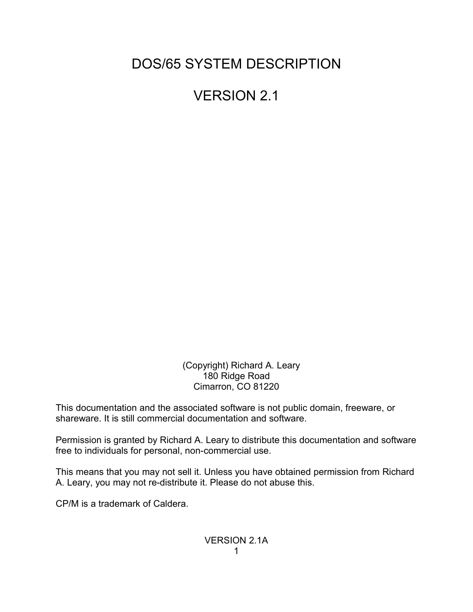DOS/65 SYSTEM DESCRIPTION

VERSION 2.1

 (Copyright) Richard A. Leary 180 Ridge Road Cimarron, CO 81220

This documentation and the associated software is not public domain, freeware, or shareware. It is still commercial documentation and software.

Permission is granted by Richard A. Leary to distribute this documentation and software free to individuals for personal, non-commercial use.

This means that you may not sell it. Unless you have obtained permission from Richard A. Leary, you may not re-distribute it. Please do not abuse this.

CP/M is a trademark of Caldera.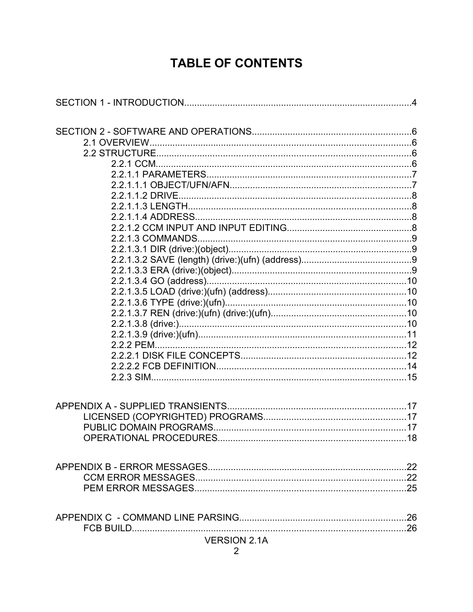# **TABLE OF CONTENTS**

| <b>VERSION 2.1A</b> |  |
|---------------------|--|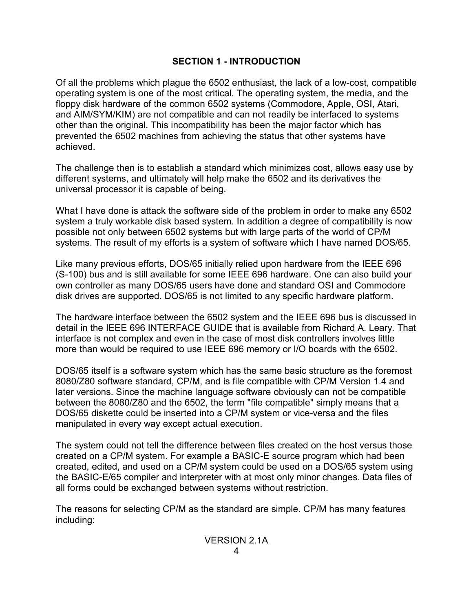# **SECTION 1 - INTRODUCTION**

Of all the problems which plague the 6502 enthusiast, the lack of a low-cost, compatible operating system is one of the most critical. The operating system, the media, and the floppy disk hardware of the common 6502 systems (Commodore, Apple, OSI, Atari, and AIM/SYM/KIM) are not compatible and can not readily be interfaced to systems other than the original. This incompatibility has been the major factor which has prevented the 6502 machines from achieving the status that other systems have achieved.

The challenge then is to establish a standard which minimizes cost, allows easy use by different systems, and ultimately will help make the 6502 and its derivatives the universal processor it is capable of being.

What I have done is attack the software side of the problem in order to make any 6502 system a truly workable disk based system. In addition a degree of compatibility is now possible not only between 6502 systems but with large parts of the world of CP/M systems. The result of my efforts is a system of software which I have named DOS/65.

Like many previous efforts, DOS/65 initially relied upon hardware from the IEEE 696 (S-100) bus and is still available for some IEEE 696 hardware. One can also build your own controller as many DOS/65 users have done and standard OSI and Commodore disk drives are supported. DOS/65 is not limited to any specific hardware platform.

The hardware interface between the 6502 system and the IEEE 696 bus is discussed in detail in the IEEE 696 INTERFACE GUIDE that is available from Richard A. Leary. That interface is not complex and even in the case of most disk controllers involves little more than would be required to use IEEE 696 memory or I/O boards with the 6502.

DOS/65 itself is a software system which has the same basic structure as the foremost 8080/Z80 software standard, CP/M, and is file compatible with CP/M Version 1.4 and later versions. Since the machine language software obviously can not be compatible between the 8080/Z80 and the 6502, the term "file compatible" simply means that a DOS/65 diskette could be inserted into a CP/M system or vice-versa and the files manipulated in every way except actual execution.

The system could not tell the difference between files created on the host versus those created on a CP/M system. For example a BASIC-E source program which had been created, edited, and used on a CP/M system could be used on a DOS/65 system using the BASIC-E/65 compiler and interpreter with at most only minor changes. Data files of all forms could be exchanged between systems without restriction.

The reasons for selecting CP/M as the standard are simple. CP/M has many features including: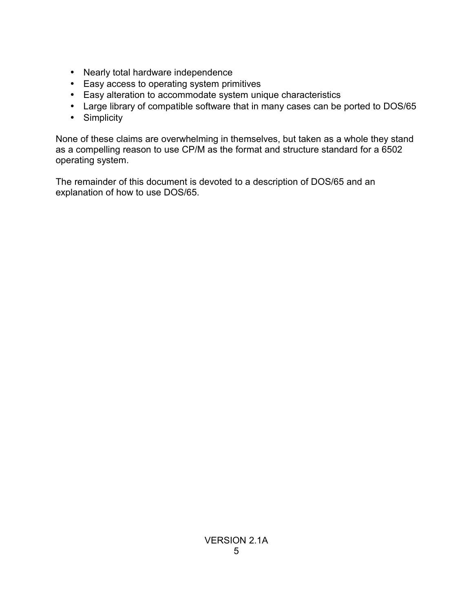- Nearly total hardware independence
- Easy access to operating system primitives
- Easy alteration to accommodate system unique characteristics
- Large library of compatible software that in many cases can be ported to DOS/65
- Simplicity

None of these claims are overwhelming in themselves, but taken as a whole they stand as a compelling reason to use CP/M as the format and structure standard for a 6502 operating system.

The remainder of this document is devoted to a description of DOS/65 and an explanation of how to use DOS/65.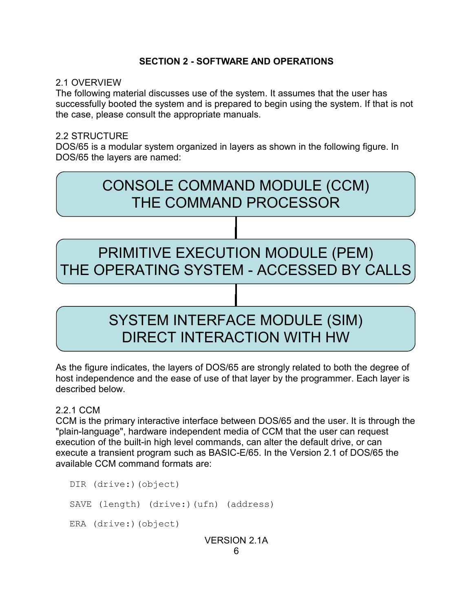#### **SECTION 2 - SOFTWARE AND OPERATIONS**

#### 2.1 OVERVIEW

The following material discusses use of the system. It assumes that the user has successfully booted the system and is prepared to begin using the system. If that is not the case, please consult the appropriate manuals.

#### 2.2 STRUCTURE

DOS/65 is a modular system organized in layers as shown in the following figure. In DOS/65 the layers are named:



As the figure indicates, the layers of DOS/65 are strongly related to both the degree of host independence and the ease of use of that layer by the programmer. Each layer is described below.

#### 2.2.1 CCM

CCM is the primary interactive interface between DOS/65 and the user. It is through the "plain-language", hardware independent media of CCM that the user can request execution of the built-in high level commands, can alter the default drive, or can execute a transient program such as BASIC-E/65. In the Version 2.1 of DOS/65 the available CCM command formats are:

DIR (drive:)(object) SAVE (length) (drive:)(ufn) (address) ERA (drive:)(object) VERSION 2.1A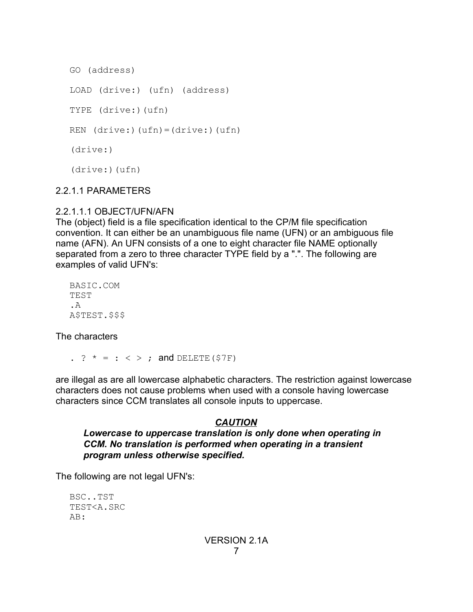```
GO (address)
LOAD (drive:) (ufn) (address)
TYPE (drive:)(ufn)
REN (drive:)(ufn)=(drive:)(ufn)
(drive:)
(drive:)(ufn)
```
### 2.2.1.1 PARAMETERS

### 2.2.1.1.1 OBJECT/UFN/AFN

The (object) field is a file specification identical to the CP/M file specification convention. It can either be an unambiguous file name (UFN) or an ambiguous file name (AFN). An UFN consists of a one to eight character file NAME optionally separated from a zero to three character TYPE field by a ".". The following are examples of valid UFN's:

BASIC.COM TEST  $A$ A\$TEST.\$\$\$

The characters

. ?  $* = : < >;$  and DELETE (\$7F)

are illegal as are all lowercase alphabetic characters. The restriction against lowercase characters does not cause problems when used with a console having lowercase characters since CCM translates all console inputs to uppercase.

# *CAUTION*

#### *Lowercase to uppercase translation is only done when operating in CCM. No translation is performed when operating in a transient program unless otherwise specified.*

The following are not legal UFN's:

BSC..TST TEST<A.SRC AB: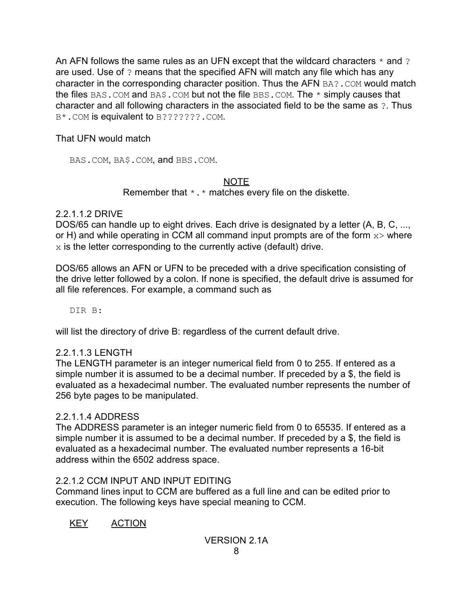An AFN follows the same rules as an UFN except that the wildcard characters  $*$  and ? are used. Use of ? means that the specified AFN will match any file which has any character in the corresponding character position. Thus the AFN BA?. COM would match the files BAS. COM and BA\$. COM but not the file BBS. COM. The  $*$  simply causes that character and all following characters in the associated field to be the same as ?. Thus B\*.COM is equivalent to B???????.COM.

That UFN would match

BAS.COM, BA\$.COM, and BBS.COM.

# NOTE

Remember that  $\star$ .  $\star$  matches every file on the diskette.

# 2.2.1.1.2 DRIVE

DOS/65 can handle up to eight drives. Each drive is designated by a letter (A, B, C, ..., or H) and while operating in CCM all command input prompts are of the form  $x >$  where  $x$  is the letter corresponding to the currently active (default) drive.

DOS/65 allows an AFN or UFN to be preceded with a drive specification consisting of the drive letter followed by a colon. If none is specified, the default drive is assumed for all file references. For example, a command such as

DIR B:

will list the directory of drive B: regardless of the current default drive.

# 2.2.1.1.3 LENGTH

The LENGTH parameter is an integer numerical field from 0 to 255. If entered as a simple number it is assumed to be a decimal number. If preceded by a \$, the field is evaluated as a hexadecimal number. The evaluated number represents the number of 256 byte pages to be manipulated.

# 2.2.1.1.4 ADDRESS

The ADDRESS parameter is an integer numeric field from 0 to 65535. If entered as a simple number it is assumed to be a decimal number. If preceded by a \$, the field is evaluated as a hexadecimal number. The evaluated number represents a 16-bit address within the 6502 address space.

# 2.2.1.2 CCM INPUT AND INPUT EDITING

Command lines input to CCM are buffered as a full line and can be edited prior to execution. The following keys have special meaning to CCM.

KEY ACTION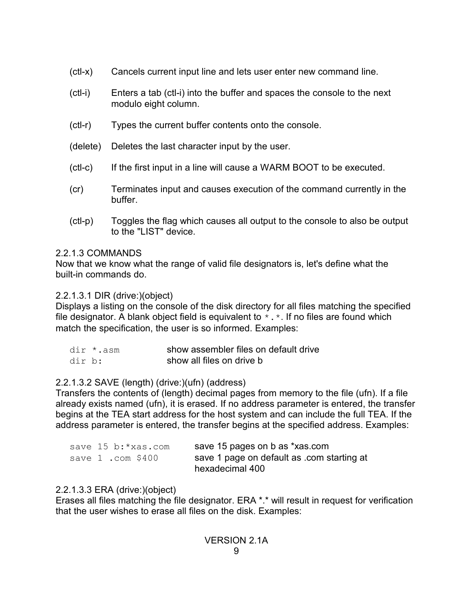- (ctl-x) Cancels current input line and lets user enter new command line.
- (ctl-i) Enters a tab (ctl-i) into the buffer and spaces the console to the next modulo eight column.
- (ctl-r) Types the current buffer contents onto the console.
- (delete) Deletes the last character input by the user.
- (ctl-c) If the first input in a line will cause a WARM BOOT to be executed.
- (cr) Terminates input and causes execution of the command currently in the buffer.
- (ctl-p) Toggles the flag which causes all output to the console to also be output to the "LIST" device.

# 2.2.1.3 COMMANDS

Now that we know what the range of valid file designators is, let's define what the built-in commands do.

# 2.2.1.3.1 DIR (drive:)(object)

Displays a listing on the console of the disk directory for all files matching the specified file designator. A blank object field is equivalent to  $*$ .  $*$ . If no files are found which match the specification, the user is so informed. Examples:

| dir *.asm | show assembler files on default drive |
|-----------|---------------------------------------|
| dir b:    | show all files on drive b             |

# 2.2.1.3.2 SAVE (length) (drive:)(ufn) (address)

Transfers the contents of (length) decimal pages from memory to the file (ufn). If a file already exists named (ufn), it is erased. If no address parameter is entered, the transfer begins at the TEA start address for the host system and can include the full TEA. If the address parameter is entered, the transfer begins at the specified address. Examples:

|  |                   | save 15 b:*xas.com | save 15 pages on b as *xas.com             |
|--|-------------------|--------------------|--------------------------------------------|
|  | save 1 .com \$400 |                    | save 1 page on default as .com starting at |
|  |                   |                    | hexadecimal 400                            |

# 2.2.1.3.3 ERA (drive:)(object)

Erases all files matching the file designator. ERA \*.\* will result in request for verification that the user wishes to erase all files on the disk. Examples: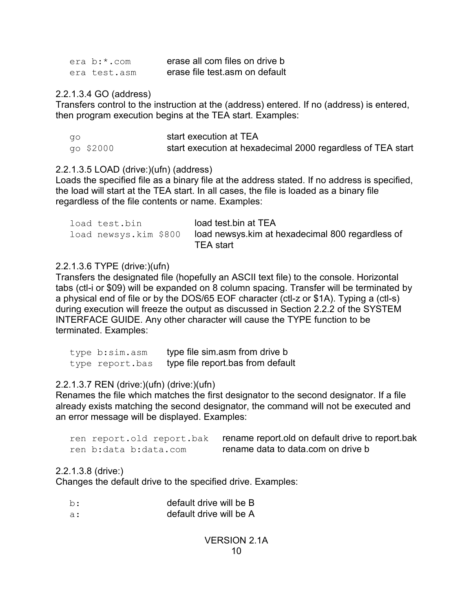| era b:*.com  | erase all com files on drive b |
|--------------|--------------------------------|
| era test.asm | erase file test asm on default |

2.2.1.3.4 GO (address)

Transfers control to the instruction at the (address) entered. If no (address) is entered, then program execution begins at the TEA start. Examples:

| ao        | start execution at TEA                                      |
|-----------|-------------------------------------------------------------|
| go \$2000 | start execution at hexadecimal 2000 regardless of TEA start |

#### 2.2.1.3.5 LOAD (drive:)(ufn) (address)

Loads the specified file as a binary file at the address stated. If no address is specified, the load will start at the TEA start. In all cases, the file is loaded as a binary file regardless of the file contents or name. Examples:

| load test.bin         | load test bin at TEA                             |
|-----------------------|--------------------------------------------------|
| load newsys.kim \$800 | load newsys.kim at hexadecimal 800 regardless of |
|                       | TEA start                                        |

### 2.2.1.3.6 TYPE (drive:)(ufn)

Transfers the designated file (hopefully an ASCII text file) to the console. Horizontal tabs (ctl-i or \$09) will be expanded on 8 column spacing. Transfer will be terminated by a physical end of file or by the DOS/65 EOF character (ctl-z or \$1A). Typing a (ctl-s) during execution will freeze the output as discussed in Section 2.2.2 of the SYSTEM INTERFACE GUIDE. Any other character will cause the TYPE function to be terminated. Examples:

| type b:sim.asm  | type file sim.asm from drive b    |
|-----------------|-----------------------------------|
| type report.bas | type file report bas from default |

# 2.2.1.3.7 REN (drive:)(ufn) (drive:)(ufn)

Renames the file which matches the first designator to the second designator. If a file already exists matching the second designator, the command will not be executed and an error message will be displayed. Examples:

| ren report.old report.bak | rename report old on default drive to report bak |
|---------------------------|--------------------------------------------------|
| ren b:data b:data.com     | rename data to data com on drive b               |

#### 2.2.1.3.8 (drive:)

Changes the default drive to the specified drive. Examples:

| b:  | default drive will be B |
|-----|-------------------------|
| -а: | default drive will be A |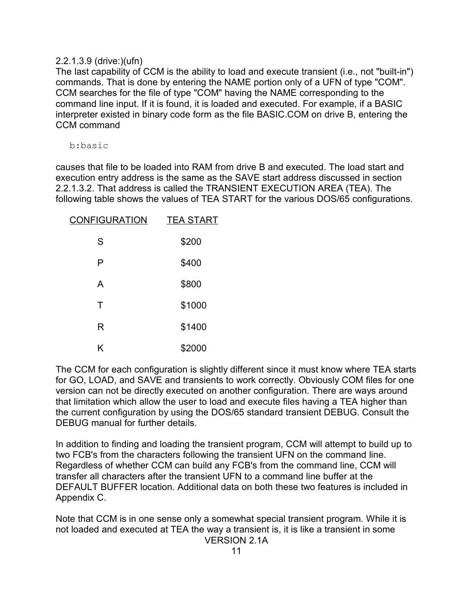#### 2.2.1.3.9 (drive:)(ufn)

The last capability of CCM is the ability to load and execute transient (i.e., not "built-in") commands. That is done by entering the NAME portion only of a UFN of type "COM". CCM searches for the file of type "COM" having the NAME corresponding to the command line input. If it is found, it is loaded and executed. For example, if a BASIC interpreter existed in binary code form as the file BASIC.COM on drive B, entering the CCM command

b:basic

causes that file to be loaded into RAM from drive B and executed. The load start and execution entry address is the same as the SAVE start address discussed in section 2.2.1.3.2. That address is called the TRANSIENT EXECUTION AREA (TEA). The following table shows the values of TEA START for the various DOS/65 configurations.

| <b>CONFIGURATION</b> | <b>TEA START</b> |
|----------------------|------------------|
| S                    | \$200            |
| Р                    | \$400            |
| A                    | \$800            |
| Τ                    | \$1000           |
| R                    | \$1400           |
| Κ                    | \$2000           |

The CCM for each configuration is slightly different since it must know where TEA starts for GO, LOAD, and SAVE and transients to work correctly. Obviously COM files for one version can not be directly executed on another configuration. There are ways around that limitation which allow the user to load and execute files having a TEA higher than the current configuration by using the DOS/65 standard transient DEBUG. Consult the DEBUG manual for further details.

In addition to finding and loading the transient program, CCM will attempt to build up to two FCB's from the characters following the transient UFN on the command line. Regardless of whether CCM can build any FCB's from the command line, CCM will transfer all characters after the transient UFN to a command line buffer at the DEFAULT BUFFER location. Additional data on both these two features is included in Appendix C.

Note that CCM is in one sense only a somewhat special transient program. While it is not loaded and executed at TEA the way a transient is, it is like a transient in some VERSION 2.1A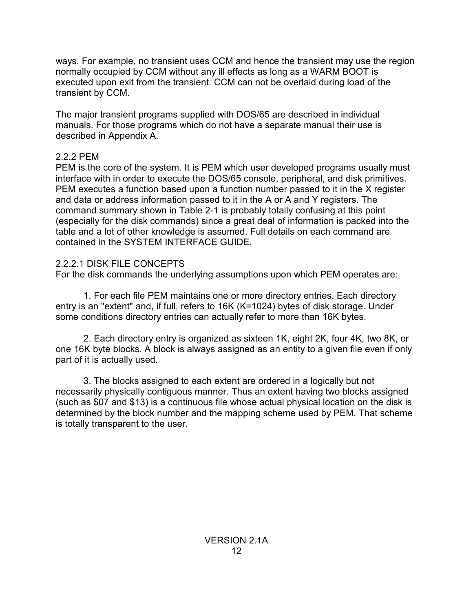ways. For example, no transient uses CCM and hence the transient may use the region normally occupied by CCM without any ill effects as long as a WARM BOOT is executed upon exit from the transient. CCM can not be overlaid during load of the transient by CCM.

The major transient programs supplied with DOS/65 are described in individual manuals. For those programs which do not have a separate manual their use is described in Appendix A.

# 2.2.2 PEM

PEM is the core of the system. It is PEM which user developed programs usually must interface with in order to execute the DOS/65 console, peripheral, and disk primitives. PEM executes a function based upon a function number passed to it in the X register and data or address information passed to it in the A or A and Y registers. The command summary shown in Table 2-1 is probably totally confusing at this point (especially for the disk commands) since a great deal of information is packed into the table and a lot of other knowledge is assumed. Full details on each command are contained in the SYSTEM INTERFACE GUIDE.

# 2.2.2.1 DISK FILE CONCEPTS

For the disk commands the underlying assumptions upon which PEM operates are:

1. For each file PEM maintains one or more directory entries. Each directory entry is an "extent" and, if full, refers to 16K (K=1024) bytes of disk storage. Under some conditions directory entries can actually refer to more than 16K bytes.

2. Each directory entry is organized as sixteen 1K, eight 2K, four 4K, two 8K, or one 16K byte blocks. A block is always assigned as an entity to a given file even if only part of it is actually used.

3. The blocks assigned to each extent are ordered in a logically but not necessarily physically contiguous manner. Thus an extent having two blocks assigned (such as \$07 and \$13) is a continuous file whose actual physical location on the disk is determined by the block number and the mapping scheme used by PEM. That scheme is totally transparent to the user.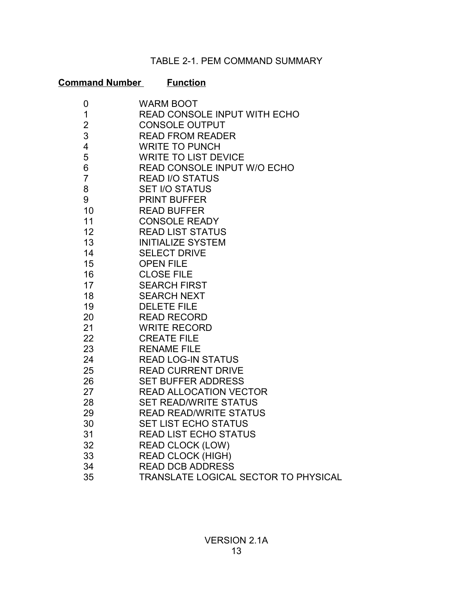# TABLE 2-1. PEM COMMAND SUMMARY

# **Command Number Function**

| 0              | <b>WARM BOOT</b>                            |
|----------------|---------------------------------------------|
| 1              | READ CONSOLE INPUT WITH ECHO                |
| $\overline{2}$ | <b>CONSOLE OUTPUT</b>                       |
| 3              | <b>READ FROM READER</b>                     |
| 4              | <b>WRITE TO PUNCH</b>                       |
| 5              | <b>WRITE TO LIST DEVICE</b>                 |
| 6              | READ CONSOLE INPUT W/O ECHO                 |
| $\overline{7}$ | <b>READ I/O STATUS</b>                      |
| 8              | <b>SET I/O STATUS</b>                       |
| 9              | <b>PRINT BUFFER</b>                         |
| 10             | <b>READ BUFFER</b>                          |
| 11             | <b>CONSOLE READY</b>                        |
| 12             | <b>READ LIST STATUS</b>                     |
| 13             | <b>INITIALIZE SYSTEM</b>                    |
| 14             | <b>SELECT DRIVE</b>                         |
| 15             | <b>OPEN FILE</b>                            |
| 16             | <b>CLOSE FILE</b>                           |
| 17             | <b>SEARCH FIRST</b>                         |
| 18             | <b>SEARCH NEXT</b>                          |
| 19             | <b>DELETE FILE</b>                          |
| 20             | <b>READ RECORD</b>                          |
| 21             | <b>WRITE RECORD</b>                         |
| 22             | <b>CREATE FILE</b>                          |
| 23             | <b>RENAME FILE</b>                          |
| 24             | <b>READ LOG-IN STATUS</b>                   |
| 25             | <b>READ CURRENT DRIVE</b>                   |
| 26             | <b>SET BUFFER ADDRESS</b>                   |
| 27             | <b>READ ALLOCATION VECTOR</b>               |
| 28             | <b>SET READ/WRITE STATUS</b>                |
| 29             | <b>READ READ/WRITE STATUS</b>               |
| 30             | <b>SET LIST ECHO STATUS</b>                 |
| 31             | <b>READ LIST ECHO STATUS</b>                |
| 32             | <b>READ CLOCK (LOW)</b>                     |
| 33             | <b>READ CLOCK (HIGH)</b>                    |
| 34             | <b>READ DCB ADDRESS</b>                     |
| 35             | <b>TRANSLATE LOGICAL SECTOR TO PHYSICAL</b> |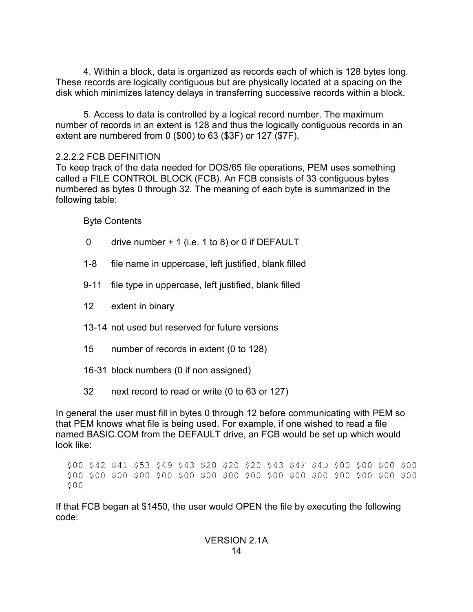4. Within a block, data is organized as records each of which is 128 bytes long. These records are logically contiguous but are physically located at a spacing on the disk which minimizes latency delays in transferring successive records within a block.

5. Access to data is controlled by a logical record number. The maximum number of records in an extent is 128 and thus the logically contiguous records in an extent are numbered from 0 (\$00) to 63 (\$3F) or 127 (\$7F).

### 2.2.2.2 FCB DEFINITION

To keep track of the data needed for DOS/65 file operations, PEM uses something called a FILE CONTROL BLOCK (FCB). An FCB consists of 33 contiguous bytes numbered as bytes 0 through 32. The meaning of each byte is summarized in the following table:

Byte Contents

- 0 drive number + 1 (i.e. 1 to 8) or 0 if DEFAULT
- 1-8 file name in uppercase, left justified, blank filled
- 9-11 file type in uppercase, left justified, blank filled
- 12 extent in binary
- 13-14 not used but reserved for future versions
- 15 number of records in extent (0 to 128)
- 16-31 block numbers (0 if non assigned)
- 32 next record to read or write (0 to 63 or 127)

In general the user must fill in bytes 0 through 12 before communicating with PEM so that PEM knows what file is being used. For example, if one wished to read a file named BASIC.COM from the DEFAULT drive, an FCB would be set up which would look like:

\$00 \$42 \$41 \$53 \$49 \$43 \$20 \$20 \$20 \$43 \$4F \$4D \$00 \$00 \$00 \$00 \$00 \$00 \$00 \$00 \$00 \$00 \$00 \$00 \$00 \$00 \$00 \$00 \$00 \$00 \$00 \$00 \$00

If that FCB began at \$1450, the user would OPEN the file by executing the following code: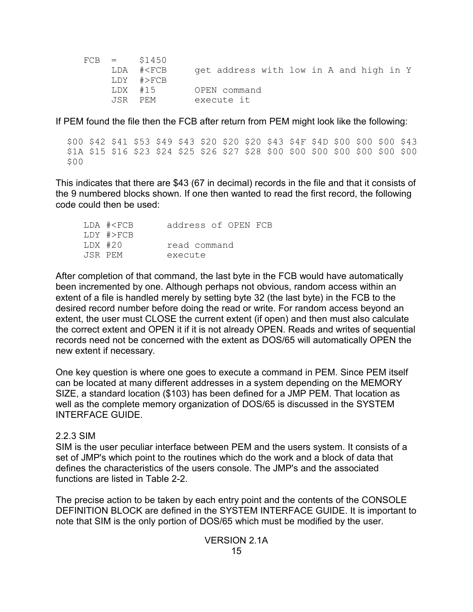|         | $FCB = $1450$                                                             |                                         |
|---------|---------------------------------------------------------------------------|-----------------------------------------|
|         | LDA # <fcb< td=""><td>get address with low in A and high in Y</td></fcb<> | get address with low in A and high in Y |
|         | LDY #>FCB                                                                 |                                         |
| LDX #15 |                                                                           | OPEN command                            |
| JSR PEM |                                                                           | execute it                              |

If PEM found the file then the FCB after return from PEM might look like the following:

\$00 \$42 \$41 \$53 \$49 \$43 \$20 \$20 \$20 \$43 \$4F \$4D \$00 \$00 \$00 \$43 \$1A \$15 \$16 \$23 \$24 \$25 \$26 \$27 \$28 \$00 \$00 \$00 \$00 \$00 \$00 \$00 \$00

This indicates that there are \$43 (67 in decimal) records in the file and that it consists of the 9 numbered blocks shown. If one then wanted to read the first record, the following code could then be used:

|         | LDA # <fcb< th=""><th>address of OPEN FCB</th><th></th><th></th></fcb<> | address of OPEN FCB |  |  |
|---------|-------------------------------------------------------------------------|---------------------|--|--|
|         | $LDY$ #>FCB                                                             |                     |  |  |
| LDX #20 |                                                                         | read command        |  |  |
| JSR PFM |                                                                         | execute             |  |  |

After completion of that command, the last byte in the FCB would have automatically been incremented by one. Although perhaps not obvious, random access within an extent of a file is handled merely by setting byte 32 (the last byte) in the FCB to the desired record number before doing the read or write. For random access beyond an extent, the user must CLOSE the current extent (if open) and then must also calculate the correct extent and OPEN it if it is not already OPEN. Reads and writes of sequential records need not be concerned with the extent as DOS/65 will automatically OPEN the new extent if necessary.

One key question is where one goes to execute a command in PEM. Since PEM itself can be located at many different addresses in a system depending on the MEMORY SIZE, a standard location (\$103) has been defined for a JMP PEM. That location as well as the complete memory organization of DOS/65 is discussed in the SYSTEM INTERFACE GUIDE.

#### 2.2.3 SIM

SIM is the user peculiar interface between PEM and the users system. It consists of a set of JMP's which point to the routines which do the work and a block of data that defines the characteristics of the users console. The JMP's and the associated functions are listed in Table 2-2.

The precise action to be taken by each entry point and the contents of the CONSOLE DEFINITION BLOCK are defined in the SYSTEM INTERFACE GUIDE. It is important to note that SIM is the only portion of DOS/65 which must be modified by the user.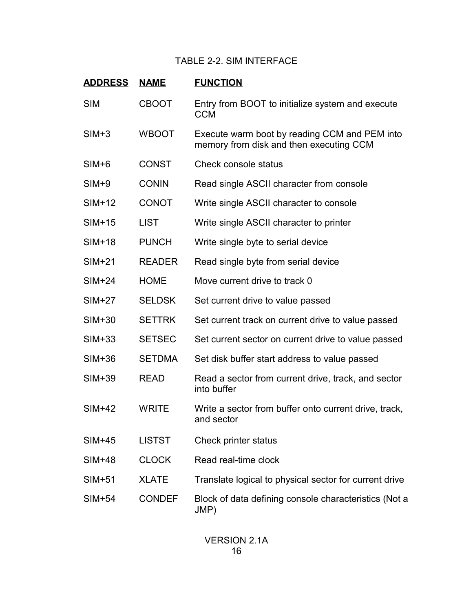# TABLE 2-2. SIM INTERFACE

| <b>ADDRESS</b> | <b>NAME</b>   | <b>FUNCTION</b>                                                                          |
|----------------|---------------|------------------------------------------------------------------------------------------|
| <b>SIM</b>     | <b>CBOOT</b>  | Entry from BOOT to initialize system and execute<br><b>CCM</b>                           |
| $SIM+3$        | <b>WBOOT</b>  | Execute warm boot by reading CCM and PEM into<br>memory from disk and then executing CCM |
| $SIM+6$        | <b>CONST</b>  | Check console status                                                                     |
| $SIM+9$        | <b>CONIN</b>  | Read single ASCII character from console                                                 |
| $SIM+12$       | <b>CONOT</b>  | Write single ASCII character to console                                                  |
| $SIM+15$       | <b>LIST</b>   | Write single ASCII character to printer                                                  |
| $SIM+18$       | <b>PUNCH</b>  | Write single byte to serial device                                                       |
| $SIM+21$       | <b>READER</b> | Read single byte from serial device                                                      |
| $SIM+24$       | <b>HOME</b>   | Move current drive to track 0                                                            |
| $SIM+27$       | <b>SELDSK</b> | Set current drive to value passed                                                        |
| $SIM+30$       | <b>SETTRK</b> | Set current track on current drive to value passed                                       |
| $SIM+33$       | <b>SETSEC</b> | Set current sector on current drive to value passed                                      |
| $SIM+36$       | <b>SETDMA</b> | Set disk buffer start address to value passed                                            |
| $SIM+39$       | <b>READ</b>   | Read a sector from current drive, track, and sector<br>into buffer                       |
| $SIM+42$       | <b>WRITE</b>  | Write a sector from buffer onto current drive, track,<br>and sector                      |
| $SIM+45$       | LISTST        | Check printer status                                                                     |
| <b>SIM+48</b>  | <b>CLOCK</b>  | Read real-time clock                                                                     |
| $SIM+51$       | <b>XLATE</b>  | Translate logical to physical sector for current drive                                   |
| $SIM+54$       | <b>CONDEF</b> | Block of data defining console characteristics (Not a<br>JMP)                            |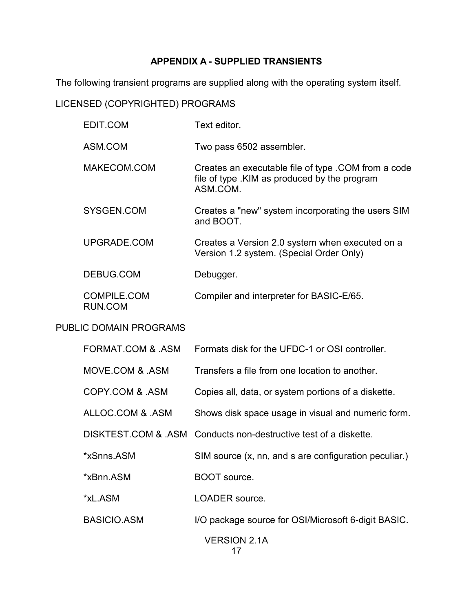# **APPENDIX A - SUPPLIED TRANSIENTS**

The following transient programs are supplied along with the operating system itself.

# LICENSED (COPYRIGHTED) PROGRAMS

| EDIT.COM                      | Text editor.                                                                                                     |
|-------------------------------|------------------------------------------------------------------------------------------------------------------|
| ASM.COM                       | Two pass 6502 assembler.                                                                                         |
| MAKECOM.COM                   | Creates an executable file of type .COM from a code<br>file of type . KIM as produced by the program<br>ASM.COM. |
| SYSGEN.COM                    | Creates a "new" system incorporating the users SIM<br>and BOOT.                                                  |
| UPGRADE.COM                   | Creates a Version 2.0 system when executed on a<br>Version 1.2 system. (Special Order Only)                      |
| DEBUG.COM                     | Debugger.                                                                                                        |
| <b>COMPILE.COM</b><br>RUN.COM | Compiler and interpreter for BASIC-E/65.                                                                         |
| <b>PUBLIC DOMAIN PROGRAMS</b> |                                                                                                                  |
| CODMAT COM 2 ACM              | Earmate diek for the LIEDC 1 or $\Omega$ PL controller                                                           |

| FURIVIAT UUIVI & ASIVI | FORMals GISK for the UFDC-T or OST controller.                  |
|------------------------|-----------------------------------------------------------------|
| MOVE COM & ASM         | Transfers a file from one location to another.                  |
| COPY.COM & ASM         | Copies all, data, or system portions of a diskette.             |
| ALLOC.COM & .ASM       | Shows disk space usage in visual and numeric form.              |
|                        | DISKTEST.COM & ASM Conducts non-destructive test of a diskette. |
| *xSnns.ASM             | SIM source (x, nn, and s are configuration peculiar.)           |
| *xBnn.ASM              | BOOT source.                                                    |
| *xL.ASM                | LOADER source.                                                  |
| <b>BASICIO.ASM</b>     | I/O package source for OSI/Microsoft 6-digit BASIC.             |
|                        | <b>VERSION 2.1A</b>                                             |

17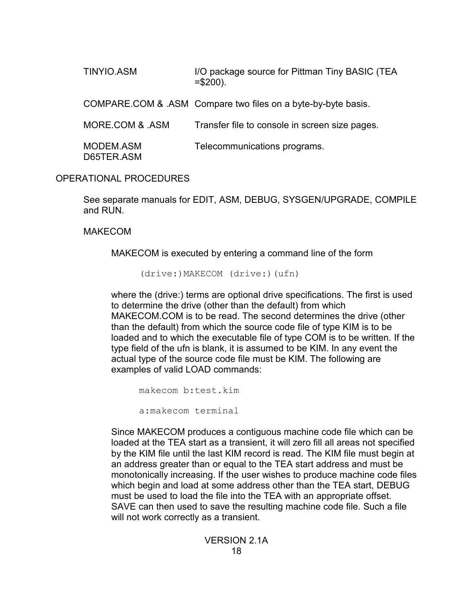TINYIO.ASM I/O package source for Pittman Tiny BASIC (TEA  $= $200$ ).

COMPARE.COM & .ASM Compare two files on a byte-by-byte basis.

MORE.COM & .ASM Transfer file to console in screen size pages.

MODEM.ASM Telecommunications programs. D65TER.ASM

# OPERATIONAL PROCEDURES

See separate manuals for EDIT, ASM, DEBUG, SYSGEN/UPGRADE, COMPILE and RUN.

### MAKECOM

MAKECOM is executed by entering a command line of the form

(drive:)MAKECOM (drive:)(ufn)

where the (drive:) terms are optional drive specifications. The first is used to determine the drive (other than the default) from which MAKECOM.COM is to be read. The second determines the drive (other than the default) from which the source code file of type KIM is to be loaded and to which the executable file of type COM is to be written. If the type field of the ufn is blank, it is assumed to be KIM. In any event the actual type of the source code file must be KIM. The following are examples of valid LOAD commands:

makecom b:test.kim

a:makecom terminal

Since MAKECOM produces a contiguous machine code file which can be loaded at the TEA start as a transient, it will zero fill all areas not specified by the KIM file until the last KIM record is read. The KIM file must begin at an address greater than or equal to the TEA start address and must be monotonically increasing. If the user wishes to produce machine code files which begin and load at some address other than the TEA start, DEBUG must be used to load the file into the TEA with an appropriate offset. SAVE can then used to save the resulting machine code file. Such a file will not work correctly as a transient.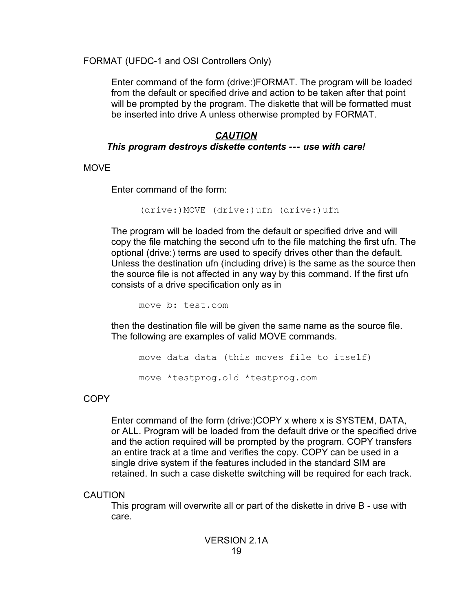FORMAT (UFDC-1 and OSI Controllers Only)

Enter command of the form (drive:)FORMAT. The program will be loaded from the default or specified drive and action to be taken after that point will be prompted by the program. The diskette that will be formatted must be inserted into drive A unless otherwise prompted by FORMAT.

# *CAUTION This program destroys diskette contents --- use with care!*

**MOVE** 

Enter command of the form:

(drive:)MOVE (drive:)ufn (drive:)ufn

The program will be loaded from the default or specified drive and will copy the file matching the second ufn to the file matching the first ufn. The optional (drive:) terms are used to specify drives other than the default. Unless the destination ufn (including drive) is the same as the source then the source file is not affected in any way by this command. If the first ufn consists of a drive specification only as in

move b: test.com

then the destination file will be given the same name as the source file. The following are examples of valid MOVE commands.

move data data (this moves file to itself) move \*testprog.old \*testprog.com

**COPY** 

Enter command of the form (drive:)COPY x where x is SYSTEM, DATA, or ALL. Program will be loaded from the default drive or the specified drive and the action required will be prompted by the program. COPY transfers an entire track at a time and verifies the copy. COPY can be used in a single drive system if the features included in the standard SIM are retained. In such a case diskette switching will be required for each track.

**CAUTION** 

This program will overwrite all or part of the diskette in drive B - use with care.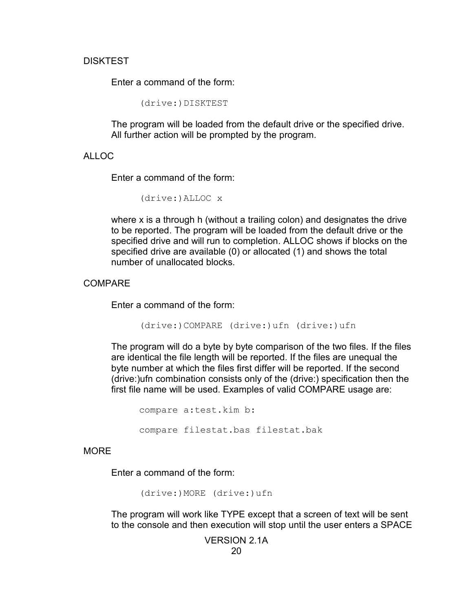#### DISKTEST

Enter a command of the form:

(drive:)DISKTEST

The program will be loaded from the default drive or the specified drive. All further action will be prompted by the program.

#### ALLOC

Enter a command of the form:

```
(drive:)ALLOC x
```
where x is a through h (without a trailing colon) and designates the drive to be reported. The program will be loaded from the default drive or the specified drive and will run to completion. ALLOC shows if blocks on the specified drive are available (0) or allocated (1) and shows the total number of unallocated blocks.

#### COMPARE

Enter a command of the form:

(drive:)COMPARE (drive:)ufn (drive:)ufn

The program will do a byte by byte comparison of the two files. If the files are identical the file length will be reported. If the files are unequal the byte number at which the files first differ will be reported. If the second (drive:)ufn combination consists only of the (drive:) specification then the first file name will be used. Examples of valid COMPARE usage are:

compare a:test.kim b: compare filestat.bas filestat.bak

#### **MORE**

Enter a command of the form:

(drive:)MORE (drive:)ufn

The program will work like TYPE except that a screen of text will be sent to the console and then execution will stop until the user enters a SPACE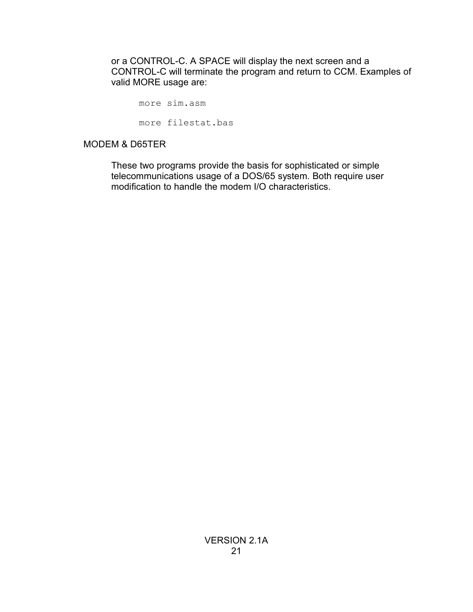or a CONTROL-C. A SPACE will display the next screen and a CONTROL-C will terminate the program and return to CCM. Examples of valid MORE usage are:

more sim.asm

more filestat.bas

#### MODEM & D65TER

These two programs provide the basis for sophisticated or simple telecommunications usage of a DOS/65 system. Both require user modification to handle the modem I/O characteristics.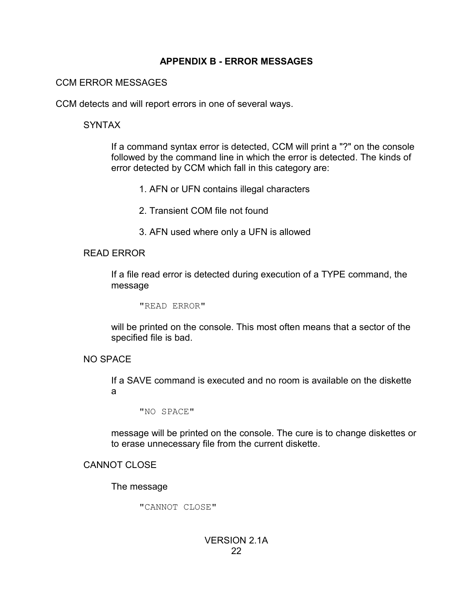### **APPENDIX B - ERROR MESSAGES**

### CCM ERROR MESSAGES

CCM detects and will report errors in one of several ways.

### SYNTAX

If a command syntax error is detected, CCM will print a "?" on the console followed by the command line in which the error is detected. The kinds of error detected by CCM which fall in this category are:

- 1. AFN or UFN contains illegal characters
- 2. Transient COM file not found
- 3. AFN used where only a UFN is allowed

### READ ERROR

If a file read error is detected during execution of a TYPE command, the message

"READ ERROR"

will be printed on the console. This most often means that a sector of the specified file is bad.

# NO SPACE

If a SAVE command is executed and no room is available on the diskette a

"NO SPACE"

message will be printed on the console. The cure is to change diskettes or to erase unnecessary file from the current diskette.

# CANNOT CLOSE

The message

"CANNOT CLOSE"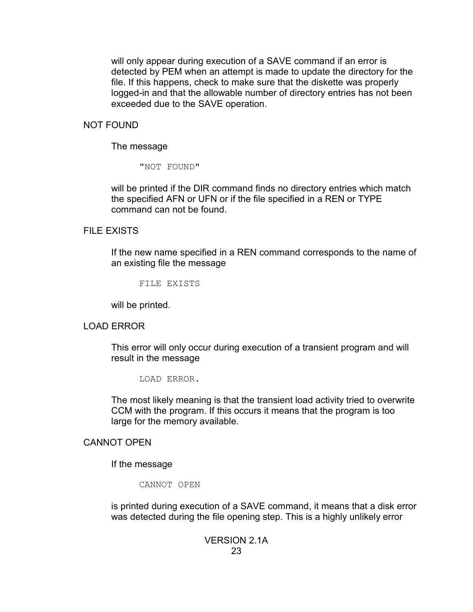will only appear during execution of a SAVE command if an error is detected by PEM when an attempt is made to update the directory for the file. If this happens, check to make sure that the diskette was properly logged-in and that the allowable number of directory entries has not been exceeded due to the SAVE operation.

#### NOT FOUND

#### The message

"NOT FOUND"

will be printed if the DIR command finds no directory entries which match the specified AFN or UFN or if the file specified in a REN or TYPE command can not be found.

#### FILE EXISTS

If the new name specified in a REN command corresponds to the name of an existing file the message

FILE EXISTS

will be printed.

#### LOAD ERROR

This error will only occur during execution of a transient program and will result in the message

LOAD ERROR.

The most likely meaning is that the transient load activity tried to overwrite CCM with the program. If this occurs it means that the program is too large for the memory available.

#### CANNOT OPEN

If the message

CANNOT OPEN

is printed during execution of a SAVE command, it means that a disk error was detected during the file opening step. This is a highly unlikely error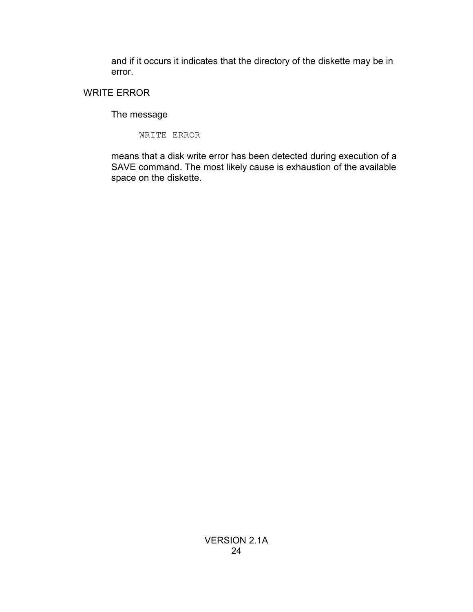and if it occurs it indicates that the directory of the diskette may be in error.

# WRITE ERROR

# The message

WRITE ERROR

means that a disk write error has been detected during execution of a SAVE command. The most likely cause is exhaustion of the available space on the diskette.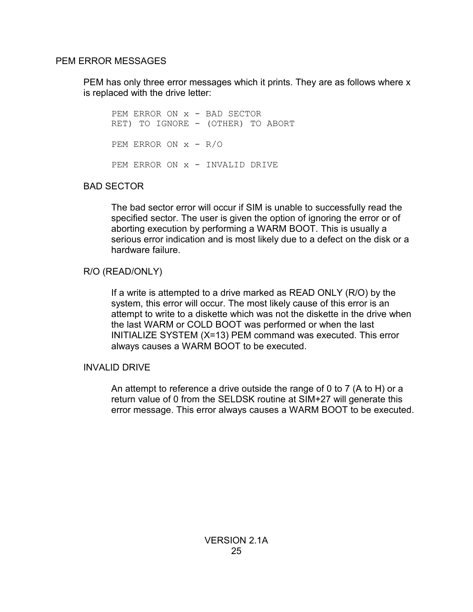#### PEM ERROR MESSAGES

PEM has only three error messages which it prints. They are as follows where x is replaced with the drive letter:

PEM ERROR ON x - BAD SECTOR RET) TO IGNORE - (OTHER) TO ABORT PEM ERROR ON  $x - R/O$ PEM ERROR ON x - INVALID DRIVE

# BAD SECTOR

The bad sector error will occur if SIM is unable to successfully read the specified sector. The user is given the option of ignoring the error or of aborting execution by performing a WARM BOOT. This is usually a serious error indication and is most likely due to a defect on the disk or a hardware failure.

### R/O (READ/ONLY)

If a write is attempted to a drive marked as READ ONLY (R/O) by the system, this error will occur. The most likely cause of this error is an attempt to write to a diskette which was not the diskette in the drive when the last WARM or COLD BOOT was performed or when the last INITIALIZE SYSTEM (X=13) PEM command was executed. This error always causes a WARM BOOT to be executed.

### INVALID DRIVE

An attempt to reference a drive outside the range of 0 to 7 (A to H) or a return value of 0 from the SELDSK routine at SIM+27 will generate this error message. This error always causes a WARM BOOT to be executed.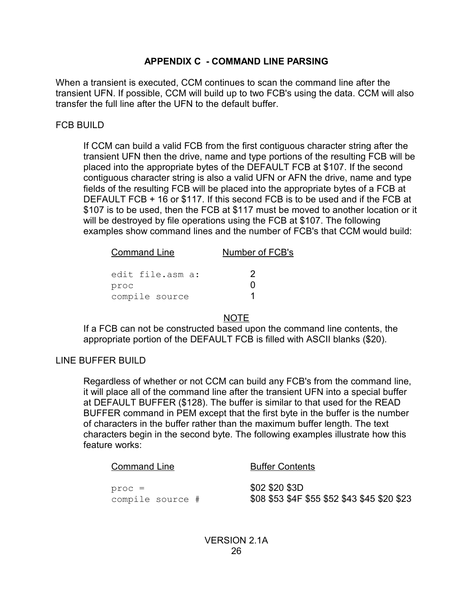# **APPENDIX C - COMMAND LINE PARSING**

When a transient is executed, CCM continues to scan the command line after the transient UFN. If possible, CCM will build up to two FCB's using the data. CCM will also transfer the full line after the UFN to the default buffer.

# FCB BUILD

If CCM can build a valid FCB from the first contiguous character string after the transient UFN then the drive, name and type portions of the resulting FCB will be placed into the appropriate bytes of the DEFAULT FCB at \$107. If the second contiguous character string is also a valid UFN or AFN the drive, name and type fields of the resulting FCB will be placed into the appropriate bytes of a FCB at DEFAULT FCB + 16 or \$117. If this second FCB is to be used and if the FCB at \$107 is to be used, then the FCB at \$117 must be moved to another location or it will be destroyed by file operations using the FCB at \$107. The following examples show command lines and the number of FCB's that CCM would build:

| <b>Command Line</b> | Number of FCB's |  |
|---------------------|-----------------|--|
| edit file.asm a:    | -2              |  |
| proc                |                 |  |
| compile source      |                 |  |

# NOTE

If a FCB can not be constructed based upon the command line contents, the appropriate portion of the DEFAULT FCB is filled with ASCII blanks (\$20).

# LINE BUFFER BUILD

Regardless of whether or not CCM can build any FCB's from the command line, it will place all of the command line after the transient UFN into a special buffer at DEFAULT BUFFER (\$128). The buffer is similar to that used for the READ BUFFER command in PEM except that the first byte in the buffer is the number of characters in the buffer rather than the maximum buffer length. The text characters begin in the second byte. The following examples illustrate how this feature works:

| <b>Command Line</b> | <b>Buffer Contents</b>                       |
|---------------------|----------------------------------------------|
| proc =              | \$02 \$20 \$3D                               |
| compile source #    | \$08 \$53 \$4F \$55 \$52 \$43 \$45 \$20 \$23 |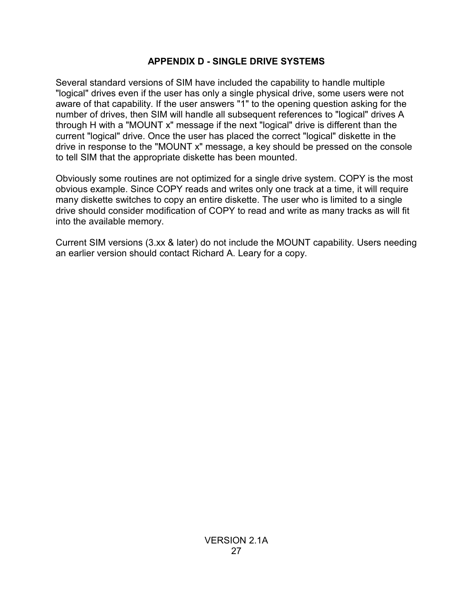# **APPENDIX D - SINGLE DRIVE SYSTEMS**

Several standard versions of SIM have included the capability to handle multiple "logical" drives even if the user has only a single physical drive, some users were not aware of that capability. If the user answers "1" to the opening question asking for the number of drives, then SIM will handle all subsequent references to "logical" drives A through H with a "MOUNT x" message if the next "logical" drive is different than the current "logical" drive. Once the user has placed the correct "logical" diskette in the drive in response to the "MOUNT x" message, a key should be pressed on the console to tell SIM that the appropriate diskette has been mounted.

Obviously some routines are not optimized for a single drive system. COPY is the most obvious example. Since COPY reads and writes only one track at a time, it will require many diskette switches to copy an entire diskette. The user who is limited to a single drive should consider modification of COPY to read and write as many tracks as will fit into the available memory.

Current SIM versions (3.xx & later) do not include the MOUNT capability. Users needing an earlier version should contact Richard A. Leary for a copy.